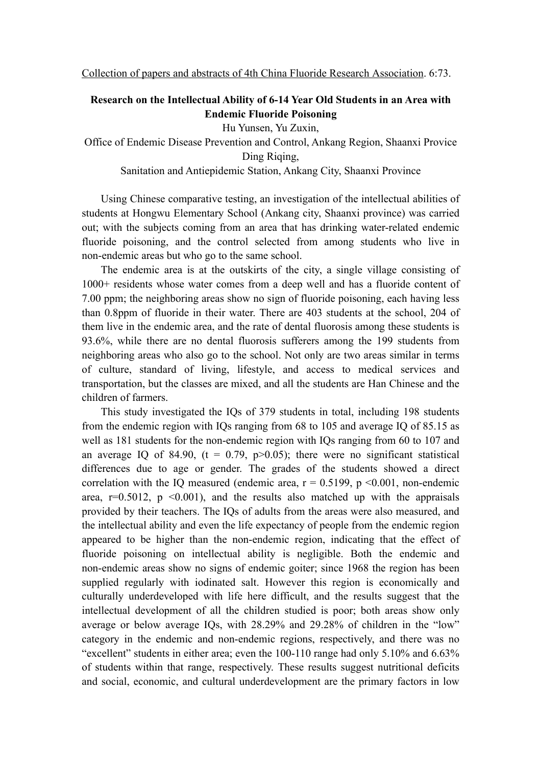## **Research on the Intellectual Ability of 6-14 Year Old Students in an Area with Endemic Fluoride Poisoning**

Hu Yunsen, Yu Zuxin,

Office of Endemic Disease Prevention and Control, Ankang Region, Shaanxi Provice Ding Riqing,

Sanitation and Antiepidemic Station, Ankang City, Shaanxi Province

Using Chinese comparative testing, an investigation of the intellectual abilities of students at Hongwu Elementary School (Ankang city, Shaanxi province) was carried out; with the subjects coming from an area that has drinking water-related endemic fluoride poisoning, and the control selected from among students who live in non-endemic areas but who go to the same school.

The endemic area is at the outskirts of the city, a single village consisting of 1000+ residents whose water comes from a deep well and has a fluoride content of 7.00 ppm; the neighboring areas show no sign of fluoride poisoning, each having less than 0.8ppm of fluoride in their water. There are 403 students at the school, 204 of them live in the endemic area, and the rate of dental fluorosis among these students is 93.6%, while there are no dental fluorosis sufferers among the 199 students from neighboring areas who also go to the school. Not only are two areas similar in terms of culture, standard of living, lifestyle, and access to medical services and transportation, but the classes are mixed, and all the students are Han Chinese and the children of farmers.

This study investigated the IQs of 379 students in total, including 198 students from the endemic region with IQs ranging from 68 to 105 and average IQ of 85.15 as well as 181 students for the non-endemic region with IQs ranging from 60 to 107 and an average IQ of 84.90,  $(t = 0.79, p > 0.05)$ ; there were no significant statistical differences due to age or gender. The grades of the students showed a direct correlation with the IO measured (endemic area,  $r = 0.5199$ ,  $p \le 0.001$ , non-endemic area,  $r=0.5012$ ,  $p \le 0.001$ ), and the results also matched up with the appraisals provided by their teachers. The IQs of adults from the areas were also measured, and the intellectual ability and even the life expectancy of people from the endemic region appeared to be higher than the non-endemic region, indicating that the effect of fluoride poisoning on intellectual ability is negligible. Both the endemic and non-endemic areas show no signs of endemic goiter; since 1968 the region has been supplied regularly with iodinated salt. However this region is economically and culturally underdeveloped with life here difficult, and the results suggest that the intellectual development of all the children studied is poor; both areas show only average or below average IQs, with 28.29% and 29.28% of children in the "low" category in the endemic and non-endemic regions, respectively, and there was no "excellent" students in either area; even the 100-110 range had only 5.10% and 6.63% of students within that range, respectively. These results suggest nutritional deficits and social, economic, and cultural underdevelopment are the primary factors in low